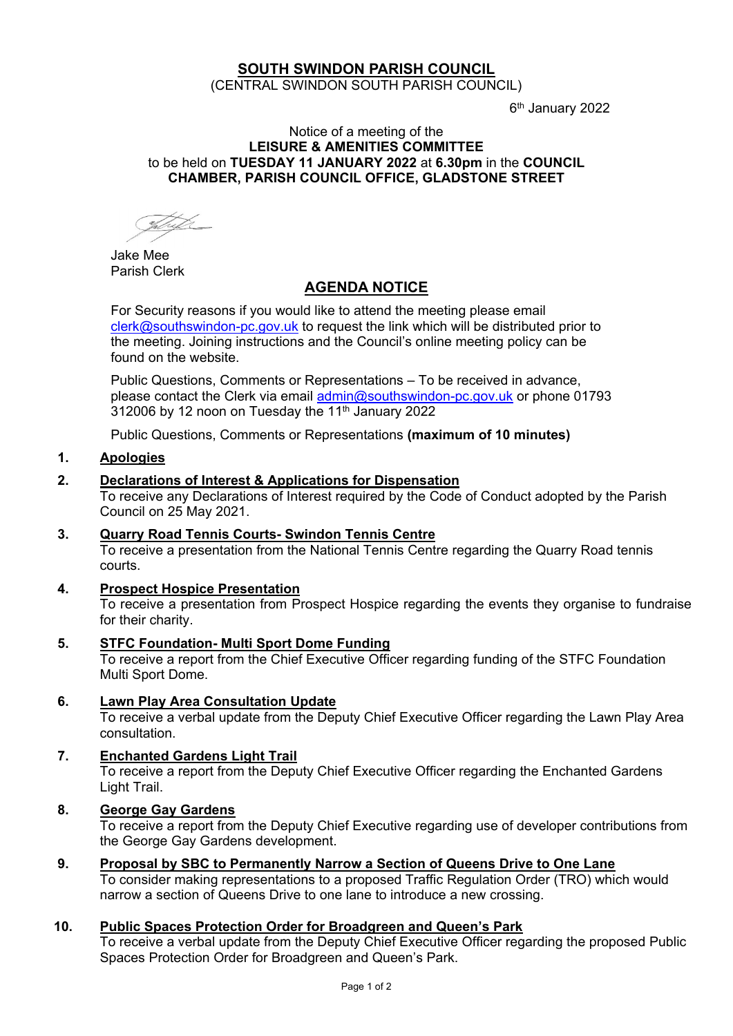# **SOUTH SWINDON PARISH COUNCIL**

(CENTRAL SWINDON SOUTH PARISH COUNCIL)

6 th January 2022

#### Notice of a meeting of the **LEISURE & AMENITIES COMMITTEE** to be held on **TUESDAY 11 JANUARY 2022** at **6.30pm** in the **COUNCIL CHAMBER, PARISH COUNCIL OFFICE, GLADSTONE STREET**

Shet

Jake Mee Parish Clerk

# **AGENDA NOTICE**

For Security reasons if you would like to attend the meeting please email [clerk@southswindon-pc.gov.uk](mailto:clerk@southswindon-pc.gov.uk) to request the link which will be distributed prior to the meeting. Joining instructions and the Council's online meeting policy can be found on the website.

Public Questions, Comments or Representations – To be received in advance, please contact the Clerk via email [admin@southswindon-pc.gov.uk](mailto:admin@southswindon-pc.gov.uk) or phone 01793 312006 by 12 noon on Tuesday the 11<sup>th</sup> January 2022

Public Questions, Comments or Representations **(maximum of 10 minutes)**

# **1. Apologies**

## **2. Declarations of Interest & Applications for Dispensation**

To receive any Declarations of Interest required by the Code of Conduct adopted by the Parish Council on 25 May 2021.

#### **3. Quarry Road Tennis Courts- Swindon Tennis Centre** To receive a presentation from the National Tennis Centre regarding the Quarry Road tennis courts.

#### **4. Prospect Hospice Presentation**

To receive a presentation from Prospect Hospice regarding the events they organise to fundraise for their charity.

**5. STFC Foundation- Multi Sport Dome Funding**

To receive a report from the Chief Executive Officer regarding funding of the STFC Foundation Multi Sport Dome.

#### **6. Lawn Play Area Consultation Update**

To receive a verbal update from the Deputy Chief Executive Officer regarding the Lawn Play Area consultation.

#### **7. Enchanted Gardens Light Trail**

To receive a report from the Deputy Chief Executive Officer regarding the Enchanted Gardens Light Trail.

# **8. George Gay Gardens**

To receive a report from the Deputy Chief Executive regarding use of developer contributions from the George Gay Gardens development.

#### **9. Proposal by SBC to Permanently Narrow a Section of Queens Drive to One Lane**

To consider making representations to a proposed Traffic Regulation Order (TRO) which would narrow a section of Queens Drive to one lane to introduce a new crossing.

#### **10. Public Spaces Protection Order for Broadgreen and Queen's Park**

To receive a verbal update from the Deputy Chief Executive Officer regarding the proposed Public Spaces Protection Order for Broadgreen and Queen's Park.